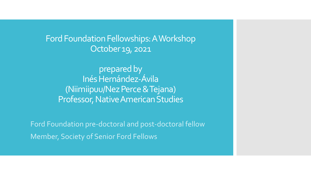Ford Foundation Fellowships: A Workshop October 19, 2021

prepared by Inés Hernández-Ávila (Niimiipuu/Nez Perce & Tejana) Professor, Native American Studies

Ford Foundation pre-doctoral and post-doctoral fellow Member, Society of Senior Ford Fellows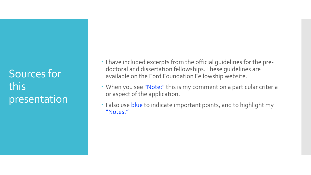Sources for this presentation

- I have included excerpts from the official guidelines for the predoctoral and dissertation fellowships. These guidelines are available on the Ford Foundation Fellowship website.
- When you see "Note:" this is my comment on a particular criteria or aspect of the application.
- $\cdot$  I also use blue to indicate important points, and to highlight my "Notes."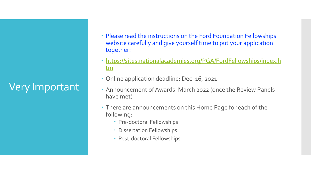Very Important

- Please read the instructions on the Ford Foundation Fellowships website carefully and give yourself time to put your application together:
- [https://sites.nationalacademies.org/PGA/FordFellowships/index.h](https://sites.nationalacademies.org/PGA/FordFellowships/index.htm) tm
- Online application deadline: Dec. 16, 2021
- Announcement of Awards: March 2022 (once the Review Panels have met)
- There are announcements on this Home Page for each of the following:
	- Pre-doctoral Fellowships
	- Dissertation Fellowships
	- Post-doctoral Fellowships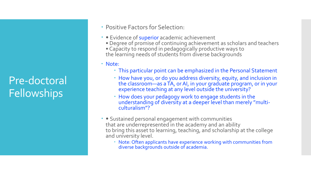# Pre-doctoral **Fellowships**

- Positive Factors for Selection:
- Evidence of superior academic achievement
	- Degree of promise of continuing achievement as scholars and teachers • Capacity to respond in pedagogically productive ways to the learning needs of students from diverse backgrounds
- Note:
	- This particular point can be emphasized in the Personal Statement
	- How have you, or do you address diversity, equity, and inclusion in the classroom—as a TA, or AI, in your graduate program, or in your experience teaching at any level outside the university?
	- How does your pedagogy work to engage students in the understanding of diversity at a deeper level than merely "multi- culturalism"?
- Sustained personal engagement with communities that are underrepresented in the academy and an ability to bring this asset to learning, teaching, and scholarship at the college and university level.
	- Note: Often applicants have experience working with communities from diverse backgrounds outside of academia.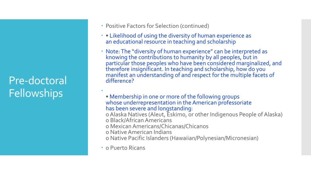# Pre-doctoral **Fellowships**

- Positive Factors for Selection (continued)
- Likelihood of using the diversity of human experience as an educational resource in teaching and scholarship
- Note: The "diversity of human experience" can be interpreted as knowing the contributions to humanity by all peoples, but in particular those peoples who have been considered marginalized, and therefore insignificant. In teaching and scholarship, how do you manifest an understanding of and respect for the multiple facets of difference?
	- Membership in one or more of the following groups whose underrepresentation in the American professoriate has been severe and longstanding:
	- o Alaska Natives (Aleut, Eskimo, or other Indigenous People of Alaska) o Black/African Americans
	- o Mexican Americans/Chicanas/Chicanos
	- o Native American Indians
	- o Native Pacific Islanders (Hawaiian/Polynesian/Micronesian)
- o Puerto Ricans

 $\bullet$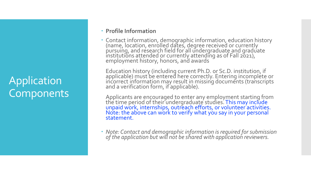# Application **Components**

#### **Profile Information**

 Contact information, demographic information, education history (name, location, enrolled dates, degree received or currently  $\stackrel{\text{\scriptsize{\textsf{p}}}}{\text{\scriptsize{\textsf{u}}}}$ research field for all undergraduate and graduate institutions attended or currently attending as of Fall 2021), employment history, honors, and awards

Education history (including current Ph.D. or Sc.D. institution, if applicable) must be entered here correctly. Entering incomplete or incorrect information may result in missing documents (transcripts and a verification form, if <sup>a</sup>pplicable).

Applicants are encouraged to enter any employment starting from the time period of their undergraduate studies. This may include<br>unpaid work, internships, outreach efforts, or volunteer activities. Note: the above can work to verify what you say in your personal statement.

 *Note: Contact and demographic information is required for submission of the application but will not be shared with application reviewers.*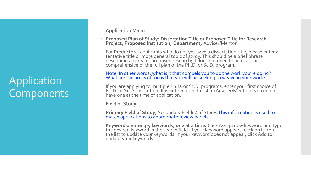# Application **Components**

- **Application Main:**
- **Proposed Plan of Study: Dissertation Title or Proposed Title for Research Project, Proposed Institution, Department,** Adviser/Mentor

For Predoctoral applicants who do not yet have a dissertation title, please enter a tentative title or more general topic of study. This should be a brief phrase describing an area of proposed research; it does not need to be exact or comprehensive of the full plan of the Ph.D. or Sc.D. program.

 Note: In other words, what is it that compels you to do the work you're doing? What are the areas of focus that you will be séeking to weave in your work?

If you are applying to multiple Ph.D. or Sc.D. programs, enter your first choice of Ph.D. or Sc.D. institution. It is not required to list an Adviser/Mentor if you do not have one at the time of application.

**Field of Study:** 

**Primary Field of Study,** Secondary Field(s) of Study. This information is used to match applications to appropriate review panels.

**Keywords: Enter 3-5 keywords, one at a time.** Click Assign new keyword and type the desired keyword in the search field. If your keyword appears, click on it from the list to update your keywords. If your keyword does not appear, click Add to update your keywords.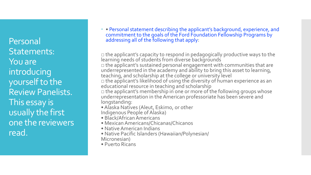Personal Statements: You are introducing yourself to the Review Panelists. This essay is usually the first one the reviewers read.

 • Personal statement describing the applicant's background, experience, and commitment to the goals of the Ford Foundation Fellowship Programs by addressing all of the following that apply:

 $\square$  the applicant's capacity to respond in pedagogically productive ways to the learning needs of students from diverse backgrounds  $\Box$  the applicant's sustained personal engagement with communities that are underrepresented in the academy and ability to bring this asset to learning, teaching, and scholarship at the college or university level □ the applicant's likelihood of using the diversity of human experience as an educational resource in teaching and scholarship  $\Box$  the applicant's membership in one or more of the following groups whose underrepresentation in the American professoriate has been severe and longstanding:

- Alaska Natives (Aleut, Eskimo, or other
- Indigenous People of Alaska)
- Black/African Americans
- Mexican Americans/Chicanas/Chicanos
- Native American Indians
- Native Pacific Islanders (Hawaiian/Polynesian/ Micronesian)
- Puerto Ricans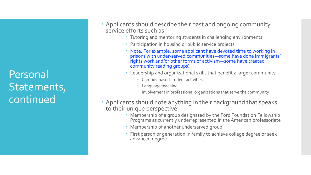Personal Statements, continued

- Applicants should describe their past and ongoing community service efforts such as:
	- Tutoring and mentoring students in challenging environments
	- Participation in housing or public service projects
	- Note: For example, some applicant have devoted time to working in prisons with under-served communities—some have done immigrants' rights work and/or other forms of activism—some have created community reading groups)
	- Leadership and organizational skills that benefit a larger community
		- Campus-based student activities
		- Language teaching
		- Involvement in professional organizations that serve the community
- Applicants should note anything in their background that speaks to their unique perspective:
	- Membership of a group designated by the Ford Foundation Fellowship Programs as currently underrepresented in the American professoriate
	- Membership of another underserved group
	- First person or generation in family to achieve college degree or seek advanced degree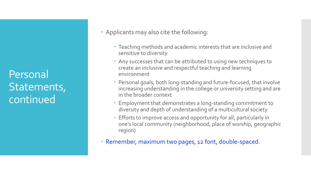Personal Statements, continued

- Applicants may also cite the following:
	- Teaching methods and academic interests that are inclusive and sensitive to diversity
	- Any successes that can be attributed to using new techniques to create an inclusive and respectful teaching and learning environment
	- Personal goals, both long-standing and future-focused, that involve increasing understanding in the college or university setting and are in the broader context
	- Employment that demonstrates a long-standing commitment to diversity and depth of understanding of a multicultural society
	- Efforts to improve access and opportunity for all, particularly in one's local community (neighborhood, place of worship, geographic region)
- Remember, maximum two pages, 12 font, double-spaced.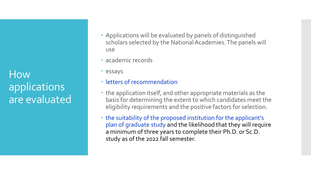How applications are evaluated

- Applications will be evaluated by panels of distinguished scholars selected by the National Academies. The panels will use
- academic records
- essays
- **· letters of recommendation**
- the application itself, and other appropriate materials as the basis for determining the extent to which candidates meet the eligibility requirements and the positive factors for selection.
- the suitability of the proposed institution for the applicant's plan of graduate study and the likelihood that they will require a minimum of three years to complete their Ph.D. or Sc.D. study as of the 2022 fall semester.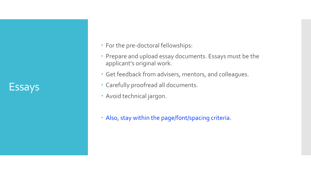Essays

- For the pre-doctoral fellowships:
- Prepare and upload essay documents. Essays must be the applicant's original work.
- Get feedback from advisers, mentors, and colleagues.
- Carefully proofread all documents.
- Avoid technical jargon.
- Also, stay within the page/font/spacing criteria.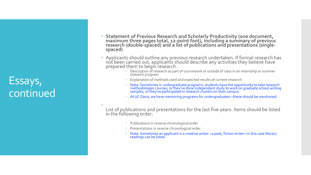# Essays, continued

- **Statement of Previous Research and Scholarly Productivity (one document,**  maximum three pages total, 12-point font), including a summary of previous<br>research (double-spaced) and a list of publications and presentations (single-<br>spaced)
- Applicants should outline any previous research undertaken. If formal research has not been carried out, applicants should describe any activities they believe have prepared them to begin research.
	- Description of research as part of coursework or outside of class in an internship or summer research program
	- Explanation of methods used and expected results of current research
	- Note: Sometimes in undergraduate programs, students have the opportunity to take research methodologies courses, or they've done independent study to work on graduate school writing samples, or they've participated in research clusters on their campus.
	- At UC Davis, we have mentoring programs for undergraduates—these should be mentioned.

 List of publications and presentations for the last five years. Items should be listed in the following order:

- Publications in reverse chronological order
- Presentations in reverse chronological order
- Note: Sometimes an applicant is a creative writer-–a poet, fiction writer—in this case literary readings can be listed.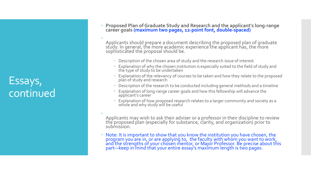# Essays, continued

- **Proposed Plan of Graduate Study and Research and the applicant's long-range career goals (maximum two pages, 12-point font, double-spaced)**
- Applicants should prepare a document describing the proposed plan of graduate study. In general, the more academic experience the applicant has, the more sophisticated the proposal should be.
	- Description of the chosen area of study and the research issue of interest
	- Explanation of why the chosen institution is especially suited to the field of study and the type of study to be undertaken
	- Explanation of the relevancy of courses to be taken and how they relate to the proposed plan of study and research
	- Description of the research to be conducted including general methods and a timeline
	- Explanation of long-range career goals and how this fellowship will advance the<br>applicant's career
	- Explanation of how proposed research relates to a larger community and society as a whole and why study will be useful

 Applicants may wish to ask their adviser or a professor in their discipline to review the proposed plan (especially for substance, clarity, and organization) prior to submission.

 Note: It is important to show that you know the institution you have chosen, the program you are in, or are applying to, the faculty with whom you want to work, and the strengths of your chosen mentor, or Major Professor. Be precise about this part—keep in mind that your entire essay's maximum length is two pages.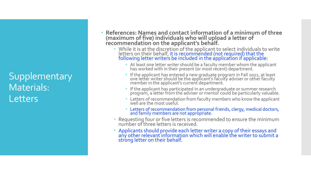## Supplementary Materials: **Letters**

- **References: Names and contact information of a minimum of three (maximum of five) individuals who will upload a letter of recommendation on the applicant's behalf.**
	- While it is at the discretion of the applicant to select individuals to write letters on their behalf, it is recommended (not required) that the<br>following letter writers be included in the application if applicable:
		- At least one letter writer should be a faculty member whom the applicant has worked with in their present (or most récent) department.
		- If the applicant has entered a new graduate program in Fall 2021, at least one letter writer should be the applicant's faculty adviser or other faculty member in the applicant's current department.
		- If the applicant has participated in an undergraduate or summer research program, a letter from the adviser or mentor could be particularly valuable.
		- Letters of recommendation from faculty members who know the applicant well are the most useful.
		- Letters of recommendation from personal friends, clergy, medical doctors, and family members are not appropriate.
	- Requesting four or five letters is recommended to ensure the minimum number of three letters is received.
	- Applicants should provide each letter writer a copy of their essays and any other relevant information which will enable the writer to submit a strong letter on their behalf.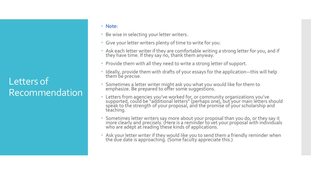### Letters of Recommendation

- Note:
- Be wise in selecting your letter writers.
- Give your letter writers plenty of time to write for you.
- Ask each letter writer if they are comfortable writing a strong letter for you, and if they have time. If they say no, thank them anyway.
- Provide them with all they need to write a strong letter of support.
- Ideally, provide them with drafts of your essays for the application—this will help them be precise.
- Sometimes a letter writer might ask you what you would like for them to emphasize. Be prepared to offer some suggestions.
- Letters from agencies you've worked for, or community organizations you've supported, could be "additional letters" (perhaps one), but your main letters should speak to the strength of your proposal, and the promise of your scholarship and teaching.
- Sometimes letter writers say more about your proposal than you do, or they say it more clearly and precisely. (Here is a reminder to vet your proposal with individuals who are adépt at reading these kinds of applications.  $\overline{\phantom{a}}$
- Ask your letter writer if they would like you to send them a friendly reminder when the due date is approaching. (Some faculty appreciate this.)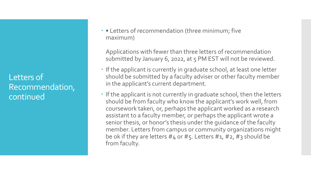Letters of Recommendation, continued

 • Letters of recommendation (three minimum; five maximum)

Applications with fewer than three letters of recommendation submitted by January 6, 2022, at 5 PM EST will not be reviewed.

- If the applicant is currently in graduate school, at least one letter should be submitted by a faculty adviser or other faculty member in the applicant's current department.
- If the applicant is not currently in graduate school, then the letters should be from faculty who know the applicant's work well, from coursework taken, or, perhaps the applicant worked as a research assistant to a faculty member, or perhaps the applicant wrote a senior thesis, or honor's thesis under the guidance of the faculty member. Letters from campus or community organizations might be ok if they are letters  $#4$  or  $#5$ . Letters  $#1, #2, #3$  should be from faculty.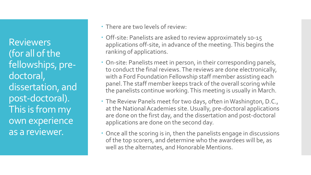Reviewers (for all of the fellowships, predoctoral, dissertation, and post-doctoral). This is from my own experience as a reviewer.

There are two levels of review:

- Off-site: Panelists are asked to review approximately 10-15 applications off-site, in advance of the meeting. This begins the ranking of applications.
- On-site: Panelists meet in person, in their corresponding panels, to conduct the final reviews. The reviews are done electronically, with a Ford Foundation Fellowship staff member assisting each panel. The staff member keeps track of the overall scoring while the panelists continue working. This meeting is usually in March.
- The Review Panels meet for two days, often in Washington, D.C., at the National Academies site. Usually, pre-doctoral applications are done on the first day, and the dissertation and post-doctoral applications are done on the second day.
- Once all the scoring is in, then the panelists engage in discussions of the top scorers, and determine who the awardees will be, as well as the alternates, and Honorable Mentions.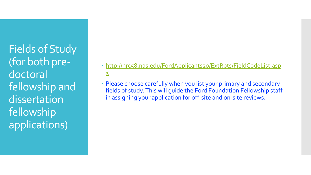Fields of Study (for both predoctoral fellowship and dissertation fellowship applications)

- [http://nrc58.nas.edu/FordApplicants20/ExtRpts/FieldCodeList.asp](http://nrc58.nas.edu/FordApplicants20/ExtRpts/FieldCodeList.aspx)  $\underline{X}$
- Please choose carefully when you list your primary and secondary fields of study. This will guide the Ford Foundation Fellowship staff in assigning your application for off-site and on-site reviews.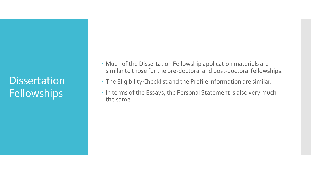# **Dissertation Fellowships**

- Much of the Dissertation Fellowship application materials are similar to those for the pre-doctoral and post-doctoral fellowships.
- The Eligibility Checklist and the Profile Information are similar.
- In terms of the Essays, the Personal Statement is also very much the same.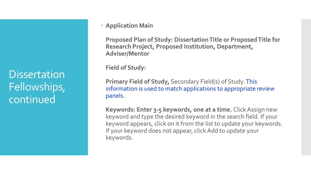#### **Application Main**

**Proposed Plan of Study: Dissertation Title or Proposed Title for Research Project, Proposed Institution, Department, Adviser/Mentor**

**Field of Study:** 

**Primary Field of Study,** Secondary Field(s) of Study. This information is used to match applications to appropriate review panels.

**Keywords: Enter 3-5 keywords, one at a time.** Click Assign new keyword and type the desired keyword in the search field. If your keyword appears, click on it from the list to update your keywords. If your keyword does not appear, click Add to update your keywords.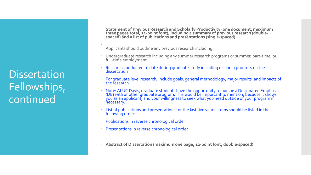**Statement of Previous Research and Scholarly Productivity (one document, maximum three pages total, 12-point font), including a summary of previous research (double- spaced) and a list of publications and presentations (single-spaced)**

Applicants should outline any previous research including:

- Undergraduate research including any summer research programs or summer, part-time, or full-time employment
- Research conducted to date during graduate study including research progress on the dissertation
- For graduate level research, include goals, general methodology, major results, and impacts of the research
- Note: At UC Davis, graduate students have the opportunity to pursue a Designated Emphasis (DE) with another graduate program. This would be important to mention, because it shows  $\overline{\mathsf{y}}$ ou $\overline{\mathsf{a}}$ s an applicant, and your willingness to seek what  $\overline{\mathsf{y}}$ ou need outside of your program if necessary.
- List of publications and presentations for the last five years. Items should be listed in the following order:
- Publications in reverse chronological order
- Presentations in reverse chronological order
- **Abstract of Dissertation (maximum one page, 12-point font, double-spaced)**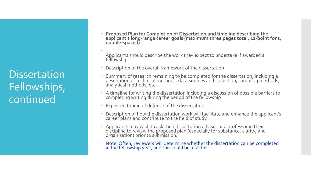**Proposed Plan for Completion of Dissertation and timeline describing the**  applicant's long-range career goals (maximum three pages total, 12-p̃oint font,<br>double-spaced)

 Applicants should describe the work they expect to undertake if awarded a fellowship.

- Description of the overall framework of the dissertation
- Summary of research remaining to be completed for the dissertation, including a description of technical methods, data sources and collection, sampling methods, analytical methods, etc.
- A timeline for writing the dissertation including a discussion of possible barriers to completing writing during the period of the fellowship
- Expected timing of defense of the dissertation
- Description of how the dissertation work will facilitate and enhance the applicant's career plans and contribute to the field of study
- Applicants may wish to ask their dissertation adviser or a professor in their discipline to review the proposed plan (especially for substance, clarity, and organization) prior to submission.
- Note: Often, reviewers will determine whether the dissertation can be completed in the fellowship year, and this could be a factor.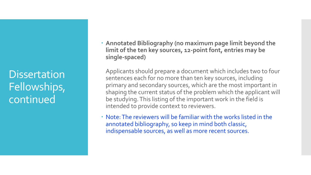**Annotated Bibliography (no maximum page limit beyond the limit of the ten key sources, 12-point font, entries may be single-spaced)**

Applicants should prepare a document which includes two to four sentences each for no more than ten key sources, including primary and secondary sources, which are the most important in shaping the current status of the problem which the applicant will be studying. This listing of the important work in the field is intended to provide context to reviewers.

 Note: The reviewers will be familiar with the works listed in the annotated bibliography, so keep in mind both classic, indispensable sources, as well as more recent sources.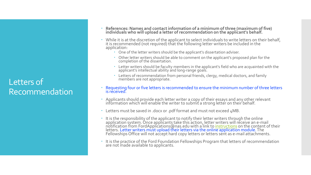#### Letters of Recommendation

- **References: Names and contact information of a minimum of three (maximum of five) individuals who will upload a letter of recommendation on the applicant's behalf.**
- While it is at the discretion of the applicant to select individuals to write letters on their behalf, it is recommended (not required) that the following letter writers be included in the application:
	- One of the letter writers should be the applicant's dissertation adviser.
	- Other letter writers should be able to comment on the applicant's proposed plan for the completion of the dissertation.
	- Letter writers should be faculty members in the applicant's field who are acquainted with the applicant's intellectual ability and long-range goals.
	- Letters of recommendation from personal friends, clergy, medical doctors, and family members are not appropriate.
- Requesting four or five letters is recommended to ensure the minimum number of three letters is received.
- Applicants should provide each letter writer a copy of their essays and any other relevant information which will enable the writer to submit a strong letter on their behalf.
- Letters must be saved in .docx or .pdf format and must not exceed 4MB.
- It is the responsibility of the applicant to notify their letter writers through the online application system. Once applicants take this action, letter writers will receive an e-mail notification from FordApplications@nas.edu with a link to <u>[instructions](https://sites.nationalacademies.org/PGA/FordFellowships/PGA_167354)</u> on the content of their letters. Letter writers must upload their letters via the online application module. The Fellowships Office will not accept hard copy letters or letters sent as e-mail attachments.
- It is the practice of the Ford Foundation Fellowships Program that letters of recommendation are not made available to applicants.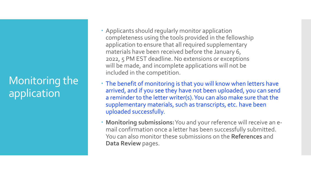# Monitoring the application

- Applicants should regularly monitor application completeness using the tools provided in the fellowship application to ensure that all required supplementary materials have been received before the January 6, 2022, 5 PM EST deadline. No extensions or exceptions will be made, and incomplete applications will not be included in the competition.
- The benefit of monitoring is that you will know when letters have arrived, and if you see they have not been uploaded, you can send a reminder to the letter writer(s). You can also make sure that the supplementary materials, such as transcripts, etc. have been uploaded successfully.
- **Monitoring submissions:**You and your reference will receive an email confirmation once a letter has been successfully submitted. You can also monitor these submissions on the **References** and **Data Review** pages.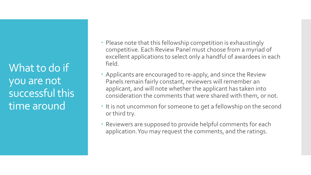What to do if you are not successful this time around

- Please note that this fellowship competition is exhaustingly competitive. Each Review Panel must choose from a myriad of excellent applications to select only a handful of awardees in each field.
- Applicants are encouraged to re-apply, and since the Review Panels remain fairly constant, reviewers will remember an applicant, and will note whether the applicant has taken into consideration the comments that were shared with them, or not.
- It is not uncommon for someone to get a fellowship on the second or third try.
- Reviewers are supposed to provide helpful comments for each application. You may request the comments, and the ratings.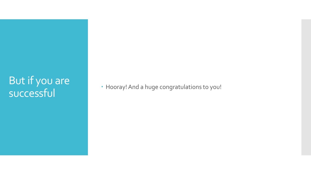# But if you are<br>successful

• Hooray! And a huge congratulations to you!